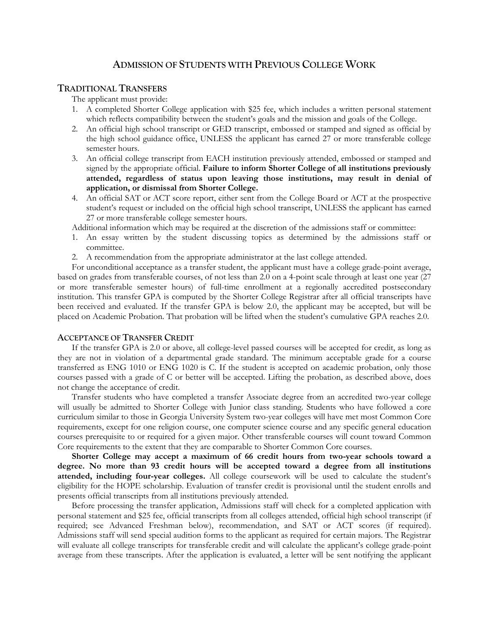# **ADMISSION OF STUDENTS WITH PREVIOUS COLLEGE WORK**

# **TRADITIONAL TRANSFERS**

The applicant must provide:

- 1. A completed Shorter College application with \$25 fee, which includes a written personal statement which reflects compatibility between the student's goals and the mission and goals of the College.
- 2. An official high school transcript or GED transcript, embossed or stamped and signed as official by the high school guidance office, UNLESS the applicant has earned 27 or more transferable college semester hours.
- 3. An official college transcript from EACH institution previously attended, embossed or stamped and signed by the appropriate official. **Failure to inform Shorter College of all institutions previously attended, regardless of status upon leaving those institutions, may result in denial of application, or dismissal from Shorter College.**
- 4. An official SAT or ACT score report, either sent from the College Board or ACT at the prospective student's request or included on the official high school transcript, UNLESS the applicant has earned 27 or more transferable college semester hours.

Additional information which may be required at the discretion of the admissions staff or committee:

- 1. An essay written by the student discussing topics as determined by the admissions staff or committee.
- 2. A recommendation from the appropriate administrator at the last college attended.

For unconditional acceptance as a transfer student, the applicant must have a college grade-point average, based on grades from transferable courses, of not less than 2.0 on a 4-point scale through at least one year (27 or more transferable semester hours) of full-time enrollment at a regionally accredited postsecondary institution. This transfer GPA is computed by the Shorter College Registrar after all official transcripts have been received and evaluated. If the transfer GPA is below 2.0, the applicant may be accepted, but will be placed on Academic Probation. That probation will be lifted when the student's cumulative GPA reaches 2.0.

#### **ACCEPTANCE OF TRANSFER CREDIT**

If the transfer GPA is 2.0 or above, all college-level passed courses will be accepted for credit, as long as they are not in violation of a departmental grade standard. The minimum acceptable grade for a course transferred as ENG 1010 or ENG 1020 is C. If the student is accepted on academic probation, only those courses passed with a grade of C or better will be accepted. Lifting the probation, as described above, does not change the acceptance of credit.

Transfer students who have completed a transfer Associate degree from an accredited two-year college will usually be admitted to Shorter College with Junior class standing. Students who have followed a core curriculum similar to those in Georgia University System two-year colleges will have met most Common Core requirements, except for one religion course, one computer science course and any specific general education courses prerequisite to or required for a given major. Other transferable courses will count toward Common Core requirements to the extent that they are comparable to Shorter Common Core courses.

**Shorter College may accept a maximum of 66 credit hours from two-year schools toward a degree. No more than 93 credit hours will be accepted toward a degree from all institutions attended, including four-year colleges.** All college coursework will be used to calculate the student's eligibility for the HOPE scholarship. Evaluation of transfer credit is provisional until the student enrolls and presents official transcripts from all institutions previously attended.

Before processing the transfer application, Admissions staff will check for a completed application with personal statement and \$25 fee, official transcripts from all colleges attended, official high school transcript (if required; see Advanced Freshman below), recommendation, and SAT or ACT scores (if required). Admissions staff will send special audition forms to the applicant as required for certain majors. The Registrar will evaluate all college transcripts for transferable credit and will calculate the applicant's college grade-point average from these transcripts. After the application is evaluated, a letter will be sent notifying the applicant